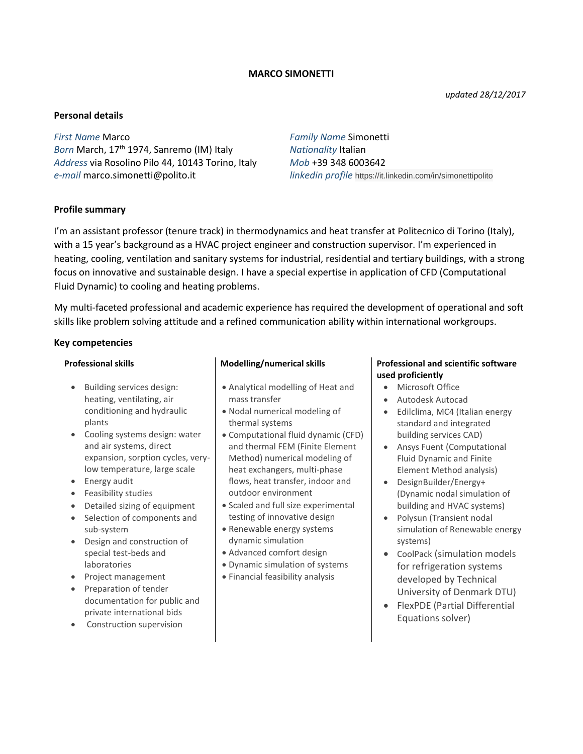## **MARCO SIMONETTI**

*updated 28/12/2017*

## **Personal details**

*First Name* Marco *Family Name* Simonetti *Born* March, 17th 1974, Sanremo (IM) Italy *Nationality* Italian *Address* via Rosolino Pilo 44, 10143 Torino, Italy *Mob* +39 348 6003642 *e-mail* marco.simonetti@polito.it *linkedin profile* https://it.linkedin.com/in/simonettipolito

## **Profile summary**

I'm an assistant professor (tenure track) in thermodynamics and heat transfer at Politecnico di Torino (Italy), with a 15 year's background as a HVAC project engineer and construction supervisor. I'm experienced in heating, cooling, ventilation and sanitary systems for industrial, residential and tertiary buildings, with a strong focus on innovative and sustainable design. I have a special expertise in application of CFD (Computational Fluid Dynamic) to cooling and heating problems.

My multi-faceted professional and academic experience has required the development of operational and soft skills like problem solving attitude and a refined communication ability within international workgroups.

### **Key competencies**

- Building services design: heating, ventilating, air conditioning and hydraulic plants
- Cooling systems design: water and air systems, direct expansion, sorption cycles, verylow temperature, large scale
- Energy audit
- Feasibility studies
- Detailed sizing of equipment
- Selection of components and sub-system
- Design and construction of special test-beds and laboratories
- Project management
- Preparation of tender documentation for public and private international bids
- Construction supervision

- Analytical modelling of Heat and mass transfer
- Nodal numerical modeling of thermal systems
- Computational fluid dynamic (CFD) and thermal FEM (Finite Element Method) numerical modeling of heat exchangers, multi-phase flows, heat transfer, indoor and outdoor environment
- Scaled and full size experimental testing of innovative design
- Renewable energy systems dynamic simulation
- Advanced comfort design
- Dynamic simulation of systems
- Financial feasibility analysis

### **Professional skills Modelling/numerical skills Professional and scientific software used proficiently**

- Microsoft Office
- Autodesk Autocad
- Edilclima, MC4 (Italian energy standard and integrated building services CAD)
- Ansys Fuent (Computational Fluid Dynamic and Finite Element Method analysis)
- DesignBuilder/Energy+ (Dynamic nodal simulation of building and HVAC systems)
- Polysun (Transient nodal simulation of Renewable energy systems)
- CoolPack (simulation models for refrigeration systems developed by Technical University of Denmark DTU)
- FlexPDE (Partial Differential Equations solver)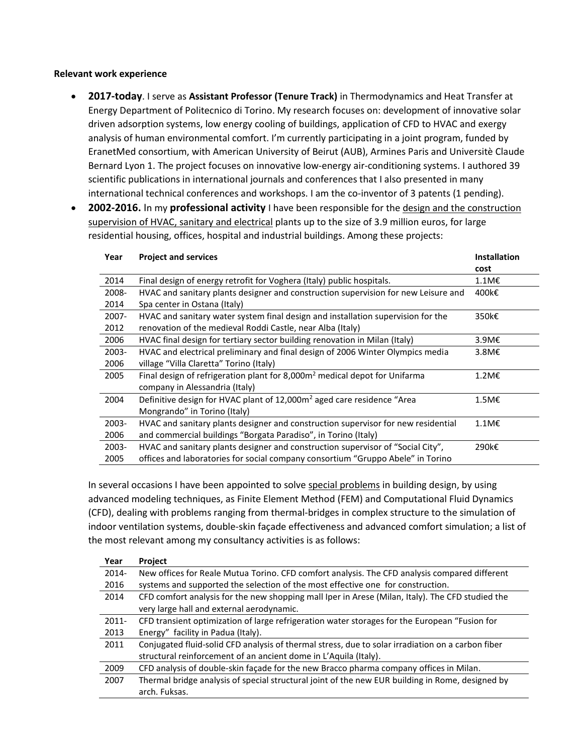## **Relevant work experience**

- **2017-today**. I serve as **Assistant Professor (Tenure Track)** in Thermodynamics and Heat Transfer at Energy Department of Politecnico di Torino. My research focuses on: development of innovative solar driven adsorption systems, low energy cooling of buildings, application of CFD to HVAC and exergy analysis of human environmental comfort. I'm currently participating in a joint program, funded by EranetMed consortium, with American University of Beirut (AUB), Armines Paris and Universitè Claude Bernard Lyon 1. The project focuses on innovative low-energy air-conditioning systems. I authored 39 scientific publications in international journals and conferences that I also presented in many international technical conferences and workshops. I am the co-inventor of 3 patents (1 pending).
- **2002-2016.** In my **professional activity** I have been responsible for the design and the construction supervision of HVAC, sanitary and electrical plants up to the size of 3.9 million euros, for large residential housing, offices, hospital and industrial buildings. Among these projects:

| Year     | <b>Project and services</b>                                                            | <b>Installation</b> |
|----------|----------------------------------------------------------------------------------------|---------------------|
|          |                                                                                        | cost                |
| 2014     | Final design of energy retrofit for Voghera (Italy) public hospitals.                  | 1.1M€               |
| 2008-    | HVAC and sanitary plants designer and construction supervision for new Leisure and     | 400k€               |
| 2014     | Spa center in Ostana (Italy)                                                           |                     |
| $2007 -$ | HVAC and sanitary water system final design and installation supervision for the       | 350k€               |
| 2012     | renovation of the medieval Roddi Castle, near Alba (Italy)                             |                     |
| 2006     | HVAC final design for tertiary sector building renovation in Milan (Italy)             | 3.9M€               |
| $2003 -$ | HVAC and electrical preliminary and final design of 2006 Winter Olympics media         | 3.8M€               |
| 2006     | village "Villa Claretta" Torino (Italy)                                                |                     |
| 2005     | Final design of refrigeration plant for 8,000m <sup>2</sup> medical depot for Unifarma | 1.2M€               |
|          | company in Alessandria (Italy)                                                         |                     |
| 2004     | Definitive design for HVAC plant of 12,000m <sup>2</sup> aged care residence "Area     | $1.5M\epsilon$      |
|          | Mongrando" in Torino (Italy)                                                           |                     |
| $2003 -$ | HVAC and sanitary plants designer and construction supervisor for new residential      | $1.1M\epsilon$      |
| 2006     | and commercial buildings "Borgata Paradiso", in Torino (Italy)                         |                     |
| 2003-    | HVAC and sanitary plants designer and construction supervisor of "Social City",        | 290k€               |
| 2005     | offices and laboratories for social company consortium "Gruppo Abele" in Torino        |                     |

In several occasions I have been appointed to solve special problems in building design, by using advanced modeling techniques, as Finite Element Method (FEM) and Computational Fluid Dynamics (CFD), dealing with problems ranging from thermal-bridges in complex structure to the simulation of indoor ventilation systems, double-skin façade effectiveness and advanced comfort simulation; a list of the most relevant among my consultancy activities is as follows:

| Year     | Project                                                                                           |
|----------|---------------------------------------------------------------------------------------------------|
| $2014 -$ | New offices for Reale Mutua Torino. CFD comfort analysis. The CFD analysis compared different     |
| 2016     | systems and supported the selection of the most effective one for construction.                   |
| 2014     | CFD comfort analysis for the new shopping mall Iper in Arese (Milan, Italy). The CFD studied the  |
|          | very large hall and external aerodynamic.                                                         |
| $2011 -$ | CFD transient optimization of large refrigeration water storages for the European "Fusion for     |
| 2013     | Energy" facility in Padua (Italy).                                                                |
| 2011     | Conjugated fluid-solid CFD analysis of thermal stress, due to solar irradiation on a carbon fiber |
|          | structural reinforcement of an ancient dome in L'Aquila (Italy).                                  |
| 2009     | CFD analysis of double-skin façade for the new Bracco pharma company offices in Milan.            |
| 2007     | Thermal bridge analysis of special structural joint of the new EUR building in Rome, designed by  |
|          | arch. Fuksas.                                                                                     |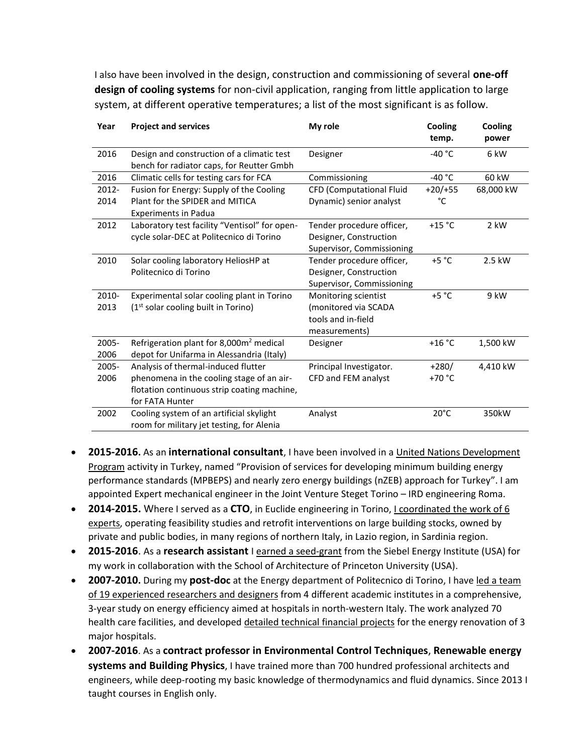I also have been involved in the design, construction and commissioning of several **one-off design of cooling systems** for non-civil application, ranging from little application to large system, at different operative temperatures; a list of the most significant is as follow.

| Year     | <b>Project and services</b>                                                             | My role                   | Cooling<br>temp. | Cooling<br>power |
|----------|-----------------------------------------------------------------------------------------|---------------------------|------------------|------------------|
| 2016     | Design and construction of a climatic test<br>bench for radiator caps, for Reutter Gmbh | Designer                  | $-40 °C$         | 6 kW             |
| 2016     | Climatic cells for testing cars for FCA                                                 | Commissioning             | $-40 °C$         | 60 kW            |
| 2012-    | Fusion for Energy: Supply of the Cooling                                                | CFD (Computational Fluid  | $+20/+55$        | 68,000 kW        |
| 2014     | Plant for the SPIDER and MITICA<br><b>Experiments in Padua</b>                          | Dynamic) senior analyst   | °C               |                  |
| 2012     | Laboratory test facility "Ventisol" for open-                                           | Tender procedure officer, | $+15 °C$         | 2 kW             |
|          | cycle solar-DEC at Politecnico di Torino                                                | Designer, Construction    |                  |                  |
|          |                                                                                         | Supervisor, Commissioning |                  |                  |
| 2010     | Solar cooling laboratory HeliosHP at                                                    | Tender procedure officer, | $+5 °C$          | 2.5 kW           |
|          | Politecnico di Torino                                                                   | Designer, Construction    |                  |                  |
|          |                                                                                         | Supervisor, Commissioning |                  |                  |
| 2010-    | Experimental solar cooling plant in Torino                                              | Monitoring scientist      | $+5 °C$          | 9 kW             |
| 2013     | $(1st$ solar cooling built in Torino)                                                   | (monitored via SCADA      |                  |                  |
|          |                                                                                         | tools and in-field        |                  |                  |
|          |                                                                                         | measurements)             |                  |                  |
| 2005-    | Refrigeration plant for 8,000m <sup>2</sup> medical                                     | Designer                  | $+16 °C$         | 1,500 kW         |
| 2006     | depot for Unifarma in Alessandria (Italy)                                               |                           |                  |                  |
| $2005 -$ | Analysis of thermal-induced flutter                                                     | Principal Investigator.   | $+280/$          | 4,410 kW         |
| 2006     | phenomena in the cooling stage of an air-                                               | CFD and FEM analyst       | $+70 °C$         |                  |
|          | flotation continuous strip coating machine,                                             |                           |                  |                  |
|          | for FATA Hunter                                                                         |                           |                  |                  |
| 2002     | Cooling system of an artificial skylight<br>room for military jet testing, for Alenia   | Analyst                   | $20^{\circ}$ C   | 350kW            |
|          |                                                                                         |                           |                  |                  |

- **2015-2016.** As an **international consultant**, I have been involved in a United Nations Development Program activity in Turkey, named "Provision of services for developing minimum building energy performance standards (MPBEPS) and nearly zero energy buildings (nZEB) approach for Turkey". I am appointed Expert mechanical engineer in the Joint Venture Steget Torino – IRD engineering Roma.
- **2014-2015.** Where I served as a **CTO**, in Euclide engineering in Torino, I coordinated the work of 6 experts, operating feasibility studies and retrofit interventions on large building stocks, owned by private and public bodies, in many regions of northern Italy, in Lazio region, in Sardinia region.
- **2015-2016**. As a **research assistant** I earned a seed-grant from the Siebel Energy Institute (USA) for my work in collaboration with the School of Architecture of Princeton University (USA).
- **2007-2010.** During my **post-doc** at the Energy department of Politecnico di Torino, I have led a team of 19 experienced researchers and designers from 4 different academic institutes in a comprehensive, 3-year study on energy efficiency aimed at hospitals in north-western Italy. The work analyzed 70 health care facilities, and developed detailed technical financial projects for the energy renovation of 3 major hospitals.
- **2007-2016**. As a **contract professor in Environmental Control Techniques**, **Renewable energy systems and Building Physics**, I have trained more than 700 hundred professional architects and engineers, while deep-rooting my basic knowledge of thermodynamics and fluid dynamics. Since 2013 I taught courses in English only.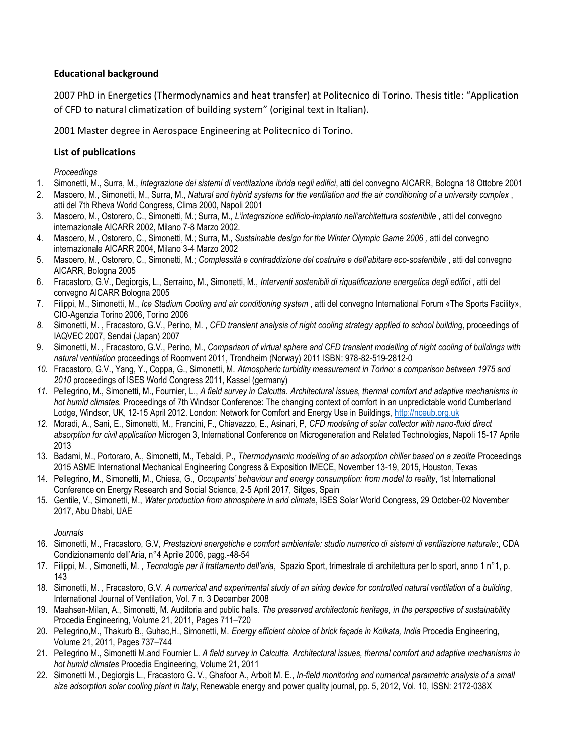# **Educational background**

2007 PhD in Energetics (Thermodynamics and heat transfer) at Politecnico di Torino. Thesis title: "Application of CFD to natural climatization of building system" (original text in Italian).

2001 Master degree in Aerospace Engineering at Politecnico di Torino.

# **List of publications**

*Proceedings*

- 1. Simonetti, M., Surra, M., *Integrazione dei sistemi di ventilazione ibrida negli edifici*, atti del convegno AICARR, Bologna 18 Ottobre 2001
- 2. Masoero, M., Simonetti, M., Surra, M., *Natural and hybrid systems for the ventilation and the air conditioning of a university complex* , atti del 7th Rheva World Congress, Clima 2000, Napoli 2001
- 3. Masoero, M., Ostorero, C., Simonetti, M.; Surra, M., *L'integrazione edificio-impianto nell'architettura sostenibile* , atti del convegno internazionale AICARR 2002, Milano 7-8 Marzo 2002.
- 4. Masoero, M., Ostorero, C., Simonetti, M.; Surra, M., *Sustainable design for the Winter Olympic Game 2006 ,* atti del convegno internazionale AICARR 2004, Milano 3-4 Marzo 2002
- 5. Masoero, M., Ostorero, C., Simonetti, M.; *Complessità e contraddizione del costruire e dell'abitare eco-sostenibile* , atti del convegno AICARR, Bologna 2005
- 6. Fracastoro, G.V., Degiorgis, L., Serraino, M., Simonetti, M., *Interventi sostenibili di riqualificazione energetica degli edifici* , atti del convegno AICARR Bologna 2005
- 7. Filippi, M., Simonetti, M., *Ice Stadium Cooling and air conditioning system* , atti del convegno International Forum «The Sports Facility», CIO-Agenzia Torino 2006, Torino 2006
- *8.* Simonetti, M. , Fracastoro, G.V., Perino, M. , *CFD transient analysis of night cooling strategy applied to school building*, proceedings of IAQVEC 2007, Sendai (Japan) 2007
- 9. Simonetti, M. , Fracastoro, G.V., Perino, M., *Comparison of virtual sphere and CFD transient modelling of night cooling of buildings with natural ventilation* proceedings of Roomvent 2011, Trondheim (Norway) 2011 ISBN: 978-82-519-2812-0
- *10.* Fracastoro, G.V., Yang, Y., Coppa, G., Simonetti, M. *Atmospheric turbidity measurement in Torino: a comparison between 1975 and 2010* proceedings of ISES World Congress 2011, Kassel (germany)
- *11.* Pellegrino, M., Simonetti, M., Fournier, L., *A field survey in Calcutta. Architectural issues, thermal comfort and adaptive mechanisms in hot humid climates.* Proceedings of 7th Windsor Conference: The changing context of comfort in an unpredictable world Cumberland Lodge, Windsor, UK, 12-15 April 2012. London: Network for Comfort and Energy Use in Buildings, [http://nceub.org.uk](http://nceub.org.uk/)
- *12.* Moradi, A., Sani, E., Simonetti, M., Francini, F., Chiavazzo, E., Asinari, P, *CFD modeling of solar collector with nano-fluid direct absorption for civil application* Microgen 3, International Conference on Microgeneration and Related Technologies, Napoli 15-17 Aprile 2013
- 13. Badami, M., Portoraro, A., Simonetti, M., Tebaldi, P., *Thermodynamic modelling of an adsorption chiller based on a zeolite* Proceedings 2015 ASME International Mechanical Engineering Congress & Exposition IMECE, November 13-19, 2015, Houston, Texas
- 14. Pellegrino, M., Simonetti, M., Chiesa, G., *Occupants' behaviour and energy consumption: from model to reality*, 1st International Conference on Energy Research and Social Science, 2-5 April 2017, Sitges, Spain
- 15. Gentile, V., Simonetti, M., *Water production from atmosphere in arid climate*, ISES Solar World Congress, 29 October-02 November 2017, Abu Dhabi, UAE

## *Journals*

- 16. Simonetti, M., Fracastoro, G.V, *Prestazioni energetiche e comfort ambientale: studio numerico di sistemi di ventilazione naturale*:, CDA Condizionamento dell'Aria, n°4 Aprile 2006, pagg.-48-54
- 17. Filippi, M. , Simonetti, M. , *Tecnologie per il trattamento dell'aria*, Spazio Sport, trimestrale di architettura per lo sport, anno 1 n°1, p. 143
- 18. Simonetti, M. , Fracastoro, G.V. *A numerical and experimental study of an airing device for controlled natural ventilation of a building*, International Journal of Ventilation, Vol. 7 n. 3 December 2008
- 19. Maahsen-Milan, A., Simonetti, M. Auditoria and public halls. *The preserved architectonic heritage, in the perspective of sustainabilit*y Procedia Engineering, Volume 21, 2011, Pages 711–720
- 20. Pellegrino,M., Thakurb B., Guhac,H., Simonetti, M. *Energy efficient choice of brick façade in Kolkata, India* Procedia Engineering, Volume 21, 2011, Pages 737–744
- 21. Pellegrino M., Simonetti M.and Fournier L. *A field survey in Calcutta. Architectural issues, thermal comfort and adaptive mechanisms in hot humid climates* Procedia Engineering, Volume 21, 2011
- 22. Simonetti M., Degiorgis L., Fracastoro G. V., Ghafoor A., Arboit M. E., *[In-field monitoring and numerical parametric analysis of a small](https://didattica.polito.it/rubrica/scheda_pers.asp?vis_PUB=N&vis_did=&vis_cv=&vis_prog=&matricola=012839)  size adsorption solar cooling plant in Italy*, Renewable energy and [power quality journal, pp. 5, 2012, Vol. 10, ISSN: 2172-038X](https://didattica.polito.it/rubrica/scheda_pers.asp?vis_PUB=N&vis_did=&vis_cv=&vis_prog=&matricola=012839)